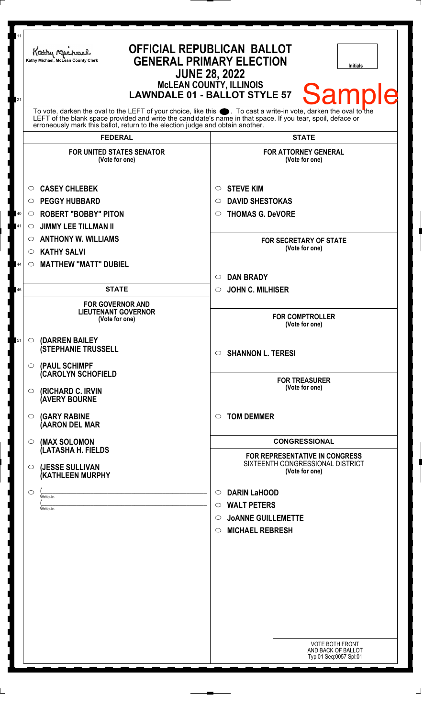| 11<br>21 | Kathy Michael<br>Kathy Michael, McLean County Clerk                                                                                                                                                                                                                                                                    | <b>OFFICIAL REPUBLICAN BALLOT</b><br><b>GENERAL PRIMARY ELECTION</b><br><b>Initials</b><br><b>JUNE 28, 2022</b><br><b>McLEAN COUNTY, ILLINOIS</b><br>Sampl<br><b>LAWNDALE 01 - BALLOT STYLE 57</b> |
|----------|------------------------------------------------------------------------------------------------------------------------------------------------------------------------------------------------------------------------------------------------------------------------------------------------------------------------|----------------------------------------------------------------------------------------------------------------------------------------------------------------------------------------------------|
|          | To vote, darken the oval to the LEFT of your choice, like this $\bullet$ . To cast a write-in vote, darken the oval to the LEFT of the blank space provided and write the candidate's name in that space. If you tear, spoil, deface<br>erroneously mark this ballot, return to the election judge and obtain another. |                                                                                                                                                                                                    |
|          | <b>FEDERAL</b>                                                                                                                                                                                                                                                                                                         | <b>STATE</b>                                                                                                                                                                                       |
|          | <b>FOR UNITED STATES SENATOR</b><br>(Vote for one)<br><b>CASEY CHLEBEK</b><br>$\circ$                                                                                                                                                                                                                                  | <b>FOR ATTORNEY GENERAL</b><br>(Vote for one)<br><b>STEVE KIM</b><br>$\circ$                                                                                                                       |
|          | <b>PEGGY HUBBARD</b><br>$\circ$                                                                                                                                                                                                                                                                                        | <b>DAVID SHESTOKAS</b><br>$\circ$                                                                                                                                                                  |
| 40       | <b>ROBERT "BOBBY" PITON</b><br>O                                                                                                                                                                                                                                                                                       | <b>THOMAS G. DeVORE</b><br>$\circ$                                                                                                                                                                 |
| 41       | <b>JIMMY LEE TILLMAN II</b><br>O                                                                                                                                                                                                                                                                                       |                                                                                                                                                                                                    |
|          | <b>ANTHONY W. WILLIAMS</b><br>O                                                                                                                                                                                                                                                                                        | <b>FOR SECRETARY OF STATE</b><br>(Vote for one)                                                                                                                                                    |
|          | <b>KATHY SALVI</b><br>$\circlearrowright$                                                                                                                                                                                                                                                                              |                                                                                                                                                                                                    |
| 44       | <b>MATTHEW "MATT" DUBIEL</b><br>$\circ$                                                                                                                                                                                                                                                                                | <b>DAN BRADY</b><br>$\circ$                                                                                                                                                                        |
| 46       | <b>STATE</b>                                                                                                                                                                                                                                                                                                           | <b>JOHN C. MILHISER</b><br>$\circ$                                                                                                                                                                 |
|          | <b>FOR GOVERNOR AND</b><br><b>LIEUTENANT GOVERNOR</b><br>(Vote for one)                                                                                                                                                                                                                                                | <b>FOR COMPTROLLER</b><br>(Vote for one)                                                                                                                                                           |
| 51       | <b>(DARREN BAILEY</b><br>$\circ$<br><b>(STEPHANIE TRUSSELL</b><br>$\circ$ (PAUL SCHIMPF                                                                                                                                                                                                                                | $\circ$ SHANNON L. TERESI                                                                                                                                                                          |
|          | <b>CAROLYN SCHOFIELD</b><br>(RICHARD C. IRVIN<br>$\circ$<br><b>(AVERY BOURNE</b>                                                                                                                                                                                                                                       | <b>FOR TREASURER</b><br>(Vote for one)                                                                                                                                                             |
|          | <b>(GARY RABINE</b><br>$\circ$<br>(AARON DEL MAR                                                                                                                                                                                                                                                                       | <b>TOM DEMMER</b><br>$\circ$                                                                                                                                                                       |
|          | (MAX SOLOMON<br>$\circ$                                                                                                                                                                                                                                                                                                | <b>CONGRESSIONAL</b>                                                                                                                                                                               |
|          | (LATASHA H. FIELDS<br>(JESSE SULLIVAN<br>$\circ$<br>(KATHLEEN MURPHY                                                                                                                                                                                                                                                   | <b>FOR REPRESENTATIVE IN CONGRESS</b><br>SIXTEENTH CONGRESSIONAL DISTRICT<br>(Vote for one)                                                                                                        |
|          | $\circlearrowright$                                                                                                                                                                                                                                                                                                    | <b>DARIN LaHOOD</b><br>$\circ$                                                                                                                                                                     |
|          | Write-in<br>Write-in                                                                                                                                                                                                                                                                                                   | <b>WALT PETERS</b><br>$\circ$                                                                                                                                                                      |
|          |                                                                                                                                                                                                                                                                                                                        | <b>JOANNE GUILLEMETTE</b><br>◯                                                                                                                                                                     |
|          |                                                                                                                                                                                                                                                                                                                        | <b>MICHAEL REBRESH</b><br>$\circ$                                                                                                                                                                  |
|          |                                                                                                                                                                                                                                                                                                                        |                                                                                                                                                                                                    |
|          |                                                                                                                                                                                                                                                                                                                        |                                                                                                                                                                                                    |
|          |                                                                                                                                                                                                                                                                                                                        |                                                                                                                                                                                                    |
|          |                                                                                                                                                                                                                                                                                                                        | <b>VOTE BOTH FRONT</b><br>AND BACK OF BALLOT<br>Typ:01 Seq:0057 Spl:01                                                                                                                             |